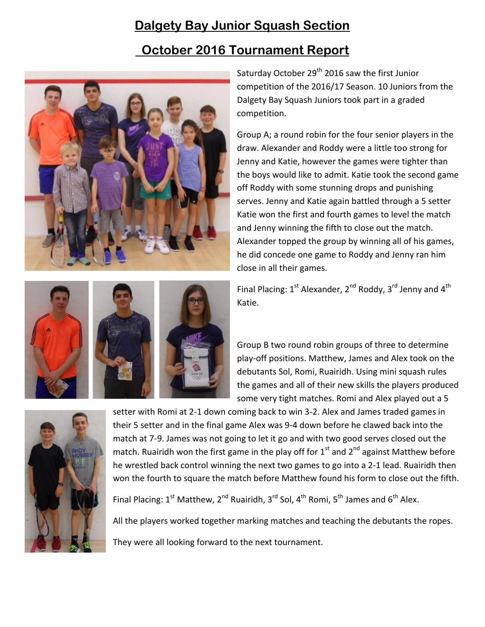## **Dalgety Bay Junior Squash Section**

## **October 2016 Tournament Report**





Group A; a round robin for the four senior players in the draw. Alexander and Roddy were a little too strong for Jenny and Katie, however the games were tighter than the boys would like to admit. Katie took the second game off Roddy with some stunning drops and punishing serves. Jenny and Katie again battled through a 5 setter Katie won the first and fourth games to level the match and Jenny winning the fifth to close out the match. Alexander topped the group by winning all of his games, he did concede one game to Roddy and Jenny ran him close in all their games.

Final Placing: 1<sup>st</sup> Alexander, 2<sup>nd</sup> Roddy, 3<sup>rd</sup> Jenny and 4<sup>th</sup> Katie.

Group B two round robin groups of three to determine play-off positions. Matthew, James and Alex took on the debutants Sol, Romi, Ruairidh. Using mini squash rules the games and all of their new skills the players produced some very tight matches. Romi and Alex played out a 5



setter with Romi at 2-1 down coming back to win 3-2. Alex and James traded games in their 5 setter and in the final game Alex was 9-4 down before he clawed back into the match at 7-9. James was not going to let it go and with two good serves closed out the match. Ruairidh won the first game in the play off for  $1<sup>st</sup>$  and  $2<sup>nd</sup>$  against Matthew before he wrestled back control winning the next two games to go into a 2-1 lead. Ruairidh then won the fourth to square the match before Matthew found his form to close out the fifth.

Final Placing: 1<sup>st</sup> Matthew, 2<sup>nd</sup> Ruairidh, 3<sup>rd</sup> Sol, 4<sup>th</sup> Romi, 5<sup>th</sup> James and 6<sup>th</sup> Alex.

All the players worked together marking matches and teaching the debutants the ropes. They were all looking forward to the next tournament.